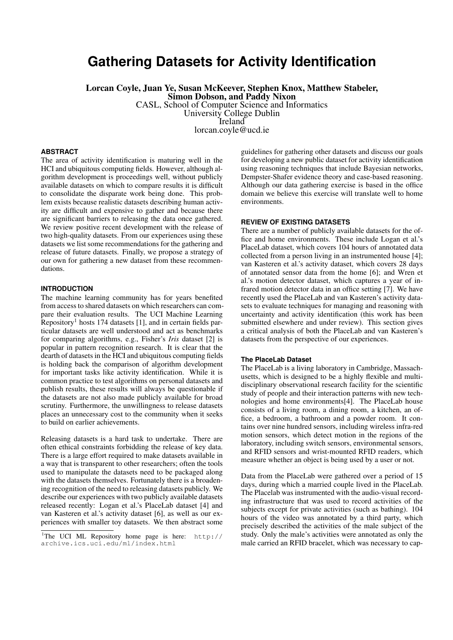# **Gathering Datasets for Activity Identification**

Lorcan Coyle, Juan Ye, Susan McKeever, Stephen Knox, Matthew Stabeler, Simon Dobson, and Paddy Nixon CASL, School of Computer Science and Informatics University College Dublin Ireland lorcan.coyle@ucd.ie

## **ABSTRACT**

The area of activity identification is maturing well in the HCI and ubiquitous computing fields. However, although algorithm development is proceedings well, without publicly available datasets on which to compare results it is difficult to consolidate the disparate work being done. This problem exists because realistic datasets describing human activity are difficult and expensive to gather and because there are significant barriers to releasing the data once gathered. We review positive recent development with the release of two high-quality datasets. From our experiences using these datasets we list some recommendations for the gathering and release of future datasets. Finally, we propose a strategy of our own for gathering a new dataset from these recommendations.

# **INTRODUCTION**

The machine learning community has for years benefited from access to shared datasets on which researchers can compare their evaluation results. The UCI Machine Learning Repository<sup>1</sup> hosts 174 datasets [1], and in certain fields particular datasets are well understood and act as benchmarks for comparing algorithms, e.g., Fisher's *Iris* dataset [2] is popular in pattern recognition research. It is clear that the dearth of datasets in the HCI and ubiquitous computing fields is holding back the comparison of algorithm development for important tasks like activity identification. While it is common practice to test algorithms on personal datasets and publish results, these results will always be questionable if the datasets are not also made publicly available for broad scrutiny. Furthermore, the unwillingness to release datasets places an unnecessary cost to the community when it seeks to build on earlier achievements.

Releasing datasets is a hard task to undertake. There are often ethical constraints forbidding the release of key data. There is a large effort required to make datasets available in a way that is transparent to other researchers; often the tools used to manipulate the datasets need to be packaged along with the datasets themselves. Fortunately there is a broadening recognition of the need to releasing datasets publicly. We describe our experiences with two publicly available datasets released recently: Logan et al.'s PlaceLab dataset [4] and van Kasteren et al.'s activity dataset [6], as well as our experiences with smaller toy datasets. We then abstract some guidelines for gathering other datasets and discuss our goals for developing a new public dataset for activity identification using reasoning techniques that include Bayesian networks, Dempster-Shafer evidence theory and case-based reasoning. Although our data gathering exercise is based in the office domain we believe this exercise will translate well to home environments.

# **REVIEW OF EXISTING DATASETS**

There are a number of publicly available datasets for the office and home environments. These include Logan et al.'s PlaceLab dataset, which covers 104 hours of annotated data collected from a person living in an instrumented house [4]; van Kasteren et al.'s activity dataset, which covers 28 days of annotated sensor data from the home [6]; and Wren et al.'s motion detector dataset, which captures a year of infrared motion detector data in an office setting [7]. We have recently used the PlaceLab and van Kasteren's activity datasets to evaluate techniques for managing and reasoning with uncertainty and activity identification (this work has been submitted elsewhere and under review). This section gives a critical analysis of both the PlaceLab and van Kasteren's datasets from the perspective of our experiences.

#### **The PlaceLab Dataset**

The PlaceLab is a living laboratory in Cambridge, Massachusetts, which is designed to be a highly flexible and multidisciplinary observational research facility for the scientific study of people and their interaction patterns with new technologies and home environments[4]. The PlaceLab house consists of a living room, a dining room, a kitchen, an office, a bedroom, a bathroom and a powder room. It contains over nine hundred sensors, including wireless infra-red motion sensors, which detect motion in the regions of the laboratory, including switch sensors, environmental sensors, and RFID sensors and wrist-mounted RFID readers, which measure whether an object is being used by a user or not.

Data from the PlaceLab were gathered over a period of 15 days, during which a married couple lived in the PlaceLab. The Placelab was instrumented with the audio-visual recording infrastructure that was used to record activities of the subjects except for private activities (such as bathing). 104 hours of the video was annotated by a third party, which precisely described the activities of the male subject of the study. Only the male's activities were annotated as only the male carried an RFID bracelet, which was necessary to cap-

<sup>&</sup>lt;sup>1</sup>The UCI ML Repository home page is here: http:// archive.ics.uci.edu/ml/index.html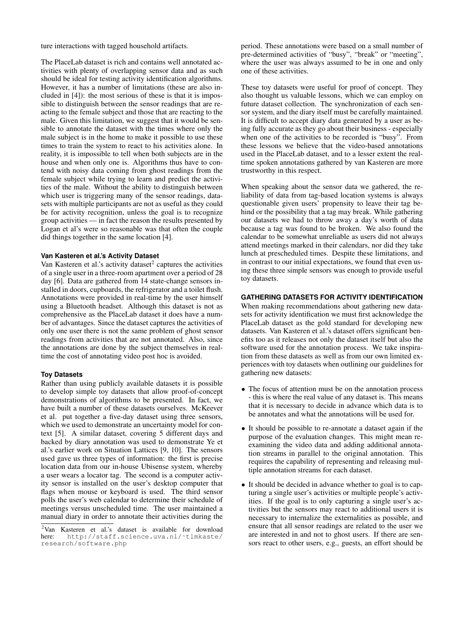ture interactions with tagged household artifacts.

The PlaceLab dataset is rich and contains well annotated activities with plenty of overlapping sensor data and as such should be ideal for testing activity identification algorithms. However, it has a number of limitations (these are also included in [4]): the most serious of these is that it is impossible to distinguish between the sensor readings that are reacting to the female subject and those that are reacting to the male. Given this limitation, we suggest that it would be sensible to annotate the dataset with the times where only the male subject is in the home to make it possible to use these times to train the system to react to his activities alone. In reality, it is impossible to tell when both subjects are in the house and when only one is. Algorithms thus have to contend with noisy data coming from ghost readings from the female subject while trying to learn and predict the activities of the male. Without the ability to distinguish between which user is triggering many of the sensor readings, datasets with multiple participants are not as useful as they could be for activity recognition, unless the goal is to recognize group activities — in fact the reason the results presented by Logan et al's were so reasonable was that often the couple did things together in the same location [4].

## **Van Kasteren et al.'s Activity Dataset**

Van Kasteren et al.'s activity dataset $2$  captures the activities of a single user in a three-room apartment over a period of 28 day [6]. Data are gathered from 14 state-change sensors installed in doors, cupboards, the refrigerator and a toilet flush. Annotations were provided in real-time by the user himself using a Bluetooth headset. Although this dataset is not as comprehensive as the PlaceLab dataset it does have a number of advantages. Since the dataset captures the activities of only one user there is not the same problem of ghost sensor readings from activities that are not annotated. Also, since the annotations are done by the subject themselves in realtime the cost of annotating video post hoc is avoided.

#### **Toy Datasets**

Rather than using publicly available datasets it is possible to develop simple toy datasets that allow proof-of-concept demonstrations of algorithms to be presented. In fact, we have built a number of these datasets ourselves. McKeever et al. put together a five-day dataset using three sensors, which we used to demonstrate an uncertainty model for context [5]. A similar dataset, covering 5 different days and backed by diary annotation was used to demonstrate Ye et al.'s earlier work on Situation Lattices [9, 10]. The sensors used gave us three types of information: the first is precise location data from our in-house Ubisense system, whereby a user wears a locator tag. The second is a computer activity sensor is installed on the user's desktop computer that flags when mouse or keyboard is used. The third sensor polls the user's web calendar to determine their schedule of meetings versus unscheduled time. The user maintained a manual diary in order to annotate their activities during the

period. These annotations were based on a small number of pre-determined activities of "busy", "break" or "meeting", where the user was always assumed to be in one and only one of these activities.

These toy datasets were useful for proof of concept. They also thought us valuable lessons, which we can employ on future dataset collection. The synchronization of each sensor system, and the diary itself must be carefully maintained. It is difficult to accept diary data generated by a user as being fully accurate as they go about their business - especially when one of the activities to be recorded is "busy". From these lessons we believe that the video-based annotations used in the PlaceLab dataset, and to a lesser extent the realtime spoken annotations gathered by van Kasteren are more trustworthy in this respect.

When speaking about the sensor data we gathered, the reliability of data from tag-based location systems is always questionable given users' propensity to leave their tag behind or the possibility that a tag may break. While gathering our datasets we had to throw away a day's worth of data because a tag was found to be broken. We also found the calendar to be somewhat unreliable as users did not always attend meetings marked in their calendars, nor did they take lunch at prescheduled times. Despite these limitations, and in contrast to our initial expectations, we found that even using these three simple sensors was enough to provide useful toy datasets.

# **GATHERING DATASETS FOR ACTIVITY IDENTIFICATION**

When making recommendations about gathering new datasets for activity identification we must first acknowledge the PlaceLab dataset as the gold standard for developing new datasets. Van Kasteren et al.'s dataset offers significant benefits too as it releases not only the dataset itself but also the software used for the annotation process. We take inspiration from these datasets as well as from our own limited experiences with toy datasets when outlining our guidelines for gathering new datasets:

- The focus of attention must be on the annotation process - this is where the real value of any dataset is. This means that it is necessary to decide in advance which data is to be annotates and what the annotations will be used for.
- It should be possible to re-annotate a dataset again if the purpose of the evaluation changes. This might mean reexamining the video data and adding additional annotation streams in parallel to the original annotation. This requires the capability of representing and releasing multiple annotation streams for each dataset.
- It should be decided in advance whether to goal is to capturing a single user's activities or multiple people's activities. If the goal is to only capturing a single user's activities but the sensors may react to additional users it is necessary to internalize the externalities as possible, and ensure that all sensor readings are related to the user we are interested in and not to ghost users. If there are sensors react to other users, e.g., guests, an effort should be

<sup>&</sup>lt;sup>2</sup>Van Kasteren et al.'s dataset is available for download here: http://staff.science.uva.nl/stlmkaste/ http://staff.science.uva.nl/~tlmkaste/ research/software.php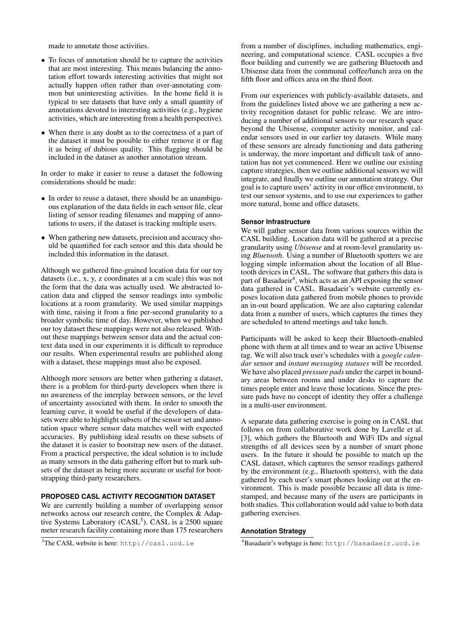made to annotate those activities.

- To focus of annotation should be to capture the activities that are most interesting. This means balancing the annotation effort towards interesting activities that might not actually happen often rather than over-annotating common but uninteresting activities. In the home field it is typical to see datasets that have only a small quantity of annotations devoted to interesting activities (e.g., hygiene activities, which are interesting from a health perspective).
- When there is any doubt as to the correctness of a part of the dataset it must be possible to either remove it or flag it as being of dubious quality. This flagging should be included in the dataset as another annotation stream.

In order to make it easier to reuse a dataset the following considerations should be made:

- In order to reuse a dataset, there should be an unambiguous explanation of the data fields in each sensor file, clear listing of sensor reading filenames and mapping of annotations to users, if the dataset is tracking multiple users.
- When gathering new datasets, precision and accuracy should be quantified for each sensor and this data should be included this information in the dataset.

Although we gathered fine-grained location data for our toy datasets (i.e., x, y, z coordinates at a cm scale) this was not the form that the data was actually used. We abstracted location data and clipped the sensor readings into symbolic locations at a room granularity. We used similar mappings with time, raising it from a fine per-second granularity to a broader symbolic time of day. However, when we published our toy dataset these mappings were not also released. Without these mappings between sensor data and the actual context data used in our experiments it is difficult to reproduce our results. When experimental results are published along with a dataset, these mappings must also be exposed.

Although more sensors are better when gathering a dataset, there is a problem for third-party developers when there is no awareness of the interplay between sensors, or the level of uncertainty associated with them. In order to smooth the learning curve, it would be useful if the developers of datasets were able to highlight subsets of the sensor set and annotation space where sensor data matches well with expected accuracies. By publishing ideal results on these subsets of the dataset it is easier to bootstrap new users of the dataset. From a practical perspective, the ideal solution is to include as many sensors in the data gathering effort but to mark subsets of the dataset as being more accurate or useful for bootstrapping third-party researchers.

# **PROPOSED CASL ACTIVITY RECOGNITION DATASET**

We are currently building a number of overlapping sensor networks across our research centre, the Complex & Adaptive Systems Laboratory (CASL<sup>3</sup>). CASL is a  $2500$  square meter research facility containing more than 175 researchers

from a number of disciplines, including mathematics, engineering, and computational science. CASL occupies a five floor building and currently we are gathering Bluetooth and Ubisense data from the communal coffee/lunch area on the fifth floor and offices area on the third floor.

From our experiences with publicly-available datasets, and from the guidelines listed above we are gathering a new activity recognition dataset for public release. We are introducing a number of additional sensors to our research space beyond the Ubisense, computer activity monitor, and calendar sensors used in our earlier toy datasets. While many of these sensors are already functioning and data gathering is underway, the more important and difficult task of annotation has not yet commenced. Here we outline our existing capture strategies, then we outline additional sensors we will integrate, and finally we outline our annotation strategy. Our goal is to capture users' activity in our office environment, to test our sensor systems, and to use our experiences to gather more natural, home and office datasets.

#### **Sensor Infrastructure**

We will gather sensor data from various sources within the CASL building. Location data will be gathered at a precise granularity using *Ubisense* and at room-level granularity using *Bluetooth*. Using a number of Bluetooth spotters we are logging simple information about the location of all Bluetooth devices in CASL. The software that gathers this data is part of Basadaeir<sup>4</sup>, which acts as an API exposing the sensor data gathered in CASL. Basadaeir's website currently exposes location data gathered from mobile phones to provide an in-out board application. We are also capturing calendar data from a number of users, which captures the times they are scheduled to attend meetings and take lunch.

Participants will be asked to keep their Bluetooth-enabled phone with them at all times and to wear an active Ubisense tag. We will also track user's schedules with a *google calendar* sensor and *instant messaging statuses* will be recorded. We have also placed *pressure pads* under the carpet in boundary areas between rooms and under desks to capture the times people enter and leave those locations. Since the pressure pads have no concept of identity they offer a challenge in a multi-user environment.

A separate data gathering exercise is going on in CASL that follows on from collaborative work done by Lavelle et al. [3], which gathers the Bluetooth and WiFi IDs and signal strengths of all devices seen by a number of smart phone users. In the future it should be possible to match up the CASL dataset, which captures the sensor readings gathered by the environment (e.g., Bluetooth spotters), with the data gathered by each user's smart phones looking out at the environment. This is made possible because all data is timestamped, and because many of the users are participants in both studies. This collaboration would add value to both data gathering exercises.

### **Annotation Strategy**

<sup>3</sup>The CASL website is here: http://casl.ucd.ie

<sup>4</sup>Basadaeir's webpage is here: http://basadaeir.ucd.ie